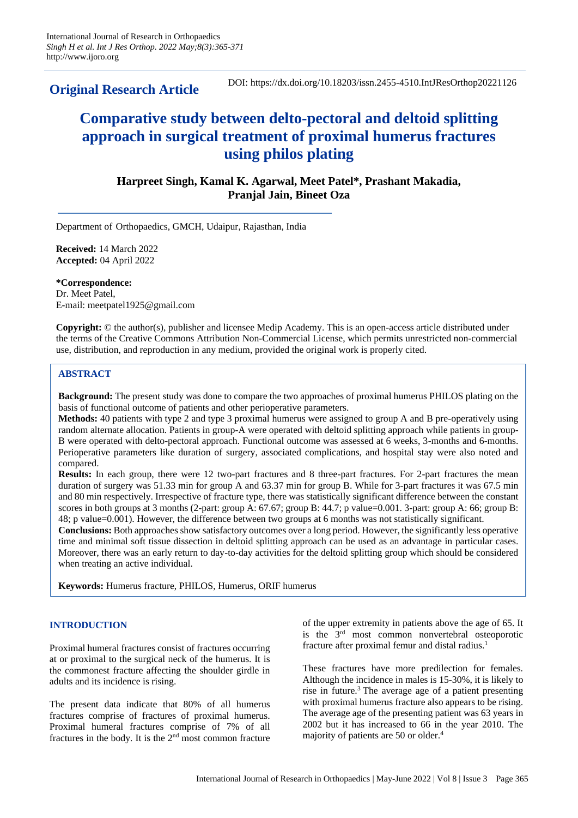**Original Research Article**

DOI: https://dx.doi.org/10.18203/issn.2455-4510.IntJResOrthop20221126

# **Comparative study between delto-pectoral and deltoid splitting approach in surgical treatment of proximal humerus fractures using philos plating**

## **Harpreet Singh, Kamal K. Agarwal, Meet Patel\*, Prashant Makadia, Pranjal Jain, Bineet Oza**

Department of Orthopaedics, GMCH, Udaipur, Rajasthan, India

**Received:** 14 March 2022 **Accepted:** 04 April 2022

**\*Correspondence:** Dr. Meet Patel, E-mail: meetpatel1925@gmail.com

**Copyright:** © the author(s), publisher and licensee Medip Academy. This is an open-access article distributed under the terms of the Creative Commons Attribution Non-Commercial License, which permits unrestricted non-commercial use, distribution, and reproduction in any medium, provided the original work is properly cited.

## **ABSTRACT**

**Background:** The present study was done to compare the two approaches of proximal humerus PHILOS plating on the basis of functional outcome of patients and other perioperative parameters.

**Methods:** 40 patients with type 2 and type 3 proximal humerus were assigned to group A and B pre-operatively using random alternate allocation. Patients in group-A were operated with deltoid splitting approach while patients in group-B were operated with delto-pectoral approach. Functional outcome was assessed at 6 weeks, 3-months and 6-months. Perioperative parameters like duration of surgery, associated complications, and hospital stay were also noted and compared.

**Results:** In each group, there were 12 two-part fractures and 8 three-part fractures. For 2-part fractures the mean duration of surgery was 51.33 min for group A and 63.37 min for group B. While for 3-part fractures it was 67.5 min and 80 min respectively. Irrespective of fracture type, there was statistically significant difference between the constant scores in both groups at 3 months (2-part: group A: 67.67; group B: 44.7; p value=0.001. 3-part: group A: 66; group B: 48; p value=0.001). However, the difference between two groups at 6 months was not statistically significant.

**Conclusions:** Both approaches show satisfactory outcomes over a long period. However, the significantly less operative time and minimal soft tissue dissection in deltoid splitting approach can be used as an advantage in particular cases. Moreover, there was an early return to day-to-day activities for the deltoid splitting group which should be considered when treating an active individual.

**Keywords:** Humerus fracture, PHILOS, Humerus, ORIF humerus

## **INTRODUCTION**

Proximal humeral fractures consist of fractures occurring at or proximal to the surgical neck of the humerus. It is the commonest fracture affecting the shoulder girdle in adults and its incidence is rising.

The present data indicate that 80% of all humerus fractures comprise of fractures of proximal humerus. Proximal humeral fractures comprise of 7% of all fractures in the body. It is the 2nd most common fracture of the upper extremity in patients above the age of 65. It is the 3rd most common nonvertebral osteoporotic fracture after proximal femur and distal radius.<sup>1</sup>

These fractures have more predilection for females. Although the incidence in males is 15-30%, it is likely to rise in future.<sup>3</sup> The average age of a patient presenting with proximal humerus fracture also appears to be rising. The average age of the presenting patient was 63 years in 2002 but it has increased to 66 in the year 2010. The majority of patients are 50 or older.<sup>4</sup>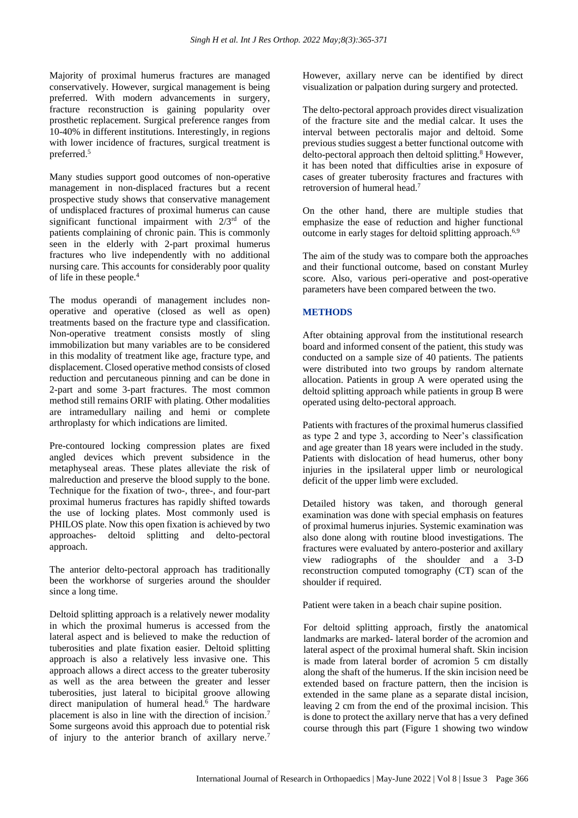Majority of proximal humerus fractures are managed conservatively. However, surgical management is being preferred. With modern advancements in surgery, fracture reconstruction is gaining popularity over prosthetic replacement. Surgical preference ranges from 10-40% in different institutions. Interestingly, in regions with lower incidence of fractures, surgical treatment is preferred.<sup>5</sup>

Many studies support good outcomes of non-operative management in non-displaced fractures but a recent prospective study shows that conservative management of undisplaced fractures of proximal humerus can cause significant functional impairment with 2/3rd of the patients complaining of chronic pain. This is commonly seen in the elderly with 2-part proximal humerus fractures who live independently with no additional nursing care. This accounts for considerably poor quality of life in these people.<sup>4</sup>

The modus operandi of management includes nonoperative and operative (closed as well as open) treatments based on the fracture type and classification. Non-operative treatment consists mostly of sling immobilization but many variables are to be considered in this modality of treatment like age, fracture type, and displacement. Closed operative method consists of closed reduction and percutaneous pinning and can be done in 2-part and some 3-part fractures. The most common method still remains ORIF with plating. Other modalities are intramedullary nailing and hemi or complete arthroplasty for which indications are limited.

Pre-contoured locking compression plates are fixed angled devices which prevent subsidence in the metaphyseal areas. These plates alleviate the risk of malreduction and preserve the blood supply to the bone. Technique for the fixation of two-, three-, and four-part proximal humerus fractures has rapidly shifted towards the use of locking plates. Most commonly used is PHILOS plate. Now this open fixation is achieved by two approaches- deltoid splitting and delto-pectoral approach.

The anterior delto-pectoral approach has traditionally been the workhorse of surgeries around the shoulder since a long time.

Deltoid splitting approach is a relatively newer modality in which the proximal humerus is accessed from the lateral aspect and is believed to make the reduction of tuberosities and plate fixation easier. Deltoid splitting approach is also a relatively less invasive one. This approach allows a direct access to the greater tuberosity as well as the area between the greater and lesser tuberosities, just lateral to bicipital groove allowing direct manipulation of humeral head.<sup>6</sup> The hardware placement is also in line with the direction of incision.<sup>7</sup> Some surgeons avoid this approach due to potential risk of injury to the anterior branch of axillary nerve.<sup>7</sup>

However, axillary nerve can be identified by direct visualization or palpation during surgery and protected.

The delto-pectoral approach provides direct visualization of the fracture site and the medial calcar. It uses the interval between pectoralis major and deltoid. Some previous studies suggest a better functional outcome with delto-pectoral approach then deltoid splitting.<sup>8</sup> However, it has been noted that difficulties arise in exposure of cases of greater tuberosity fractures and fractures with retroversion of humeral head.<sup>7</sup>

On the other hand, there are multiple studies that emphasize the ease of reduction and higher functional outcome in early stages for deltoid splitting approach.<sup>6,9</sup>

The aim of the study was to compare both the approaches and their functional outcome, based on constant Murley score. Also, various peri-operative and post-operative parameters have been compared between the two.

#### **METHODS**

After obtaining approval from the institutional research board and informed consent of the patient, this study was conducted on a sample size of 40 patients. The patients were distributed into two groups by random alternate allocation. Patients in group A were operated using the deltoid splitting approach while patients in group B were operated using delto-pectoral approach.

Patients with fractures of the proximal humerus classified as type 2 and type 3, according to Neer's classification and age greater than 18 years were included in the study. Patients with dislocation of head humerus, other bony injuries in the ipsilateral upper limb or neurological deficit of the upper limb were excluded.

Detailed history was taken, and thorough general examination was done with special emphasis on features of proximal humerus injuries. Systemic examination was also done along with routine blood investigations. The fractures were evaluated by antero-posterior and axillary view radiographs of the shoulder and a 3-D reconstruction computed tomography (CT) scan of the shoulder if required.

Patient were taken in a beach chair supine position.

For deltoid splitting approach, firstly the anatomical landmarks are marked- lateral border of the acromion and lateral aspect of the proximal humeral shaft. Skin incision is made from lateral border of acromion 5 cm distally along the shaft of the humerus. If the skin incision need be extended based on fracture pattern, then the incision is extended in the same plane as a separate distal incision, leaving 2 cm from the end of the proximal incision. This is done to protect the axillary nerve that has a very defined course through this part (Figure 1 showing two window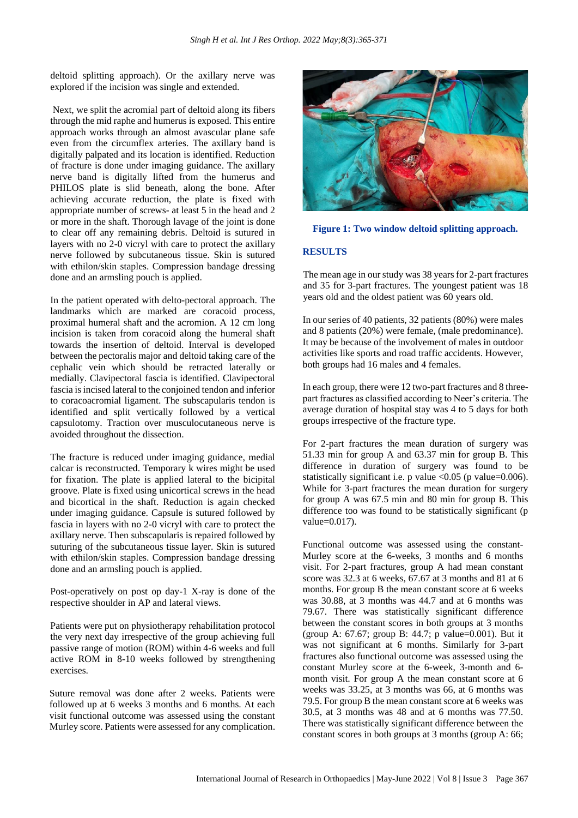deltoid splitting approach). Or the axillary nerve was explored if the incision was single and extended.

Next, we split the acromial part of deltoid along its fibers through the mid raphe and humerus is exposed. This entire approach works through an almost avascular plane safe even from the circumflex arteries. The axillary band is digitally palpated and its location is identified. Reduction of fracture is done under imaging guidance. The axillary nerve band is digitally lifted from the humerus and PHILOS plate is slid beneath, along the bone. After achieving accurate reduction, the plate is fixed with appropriate number of screws- at least 5 in the head and 2 or more in the shaft. Thorough lavage of the joint is done to clear off any remaining debris. Deltoid is sutured in layers with no 2-0 vicryl with care to protect the axillary nerve followed by subcutaneous tissue. Skin is sutured with ethilon/skin staples. Compression bandage dressing done and an armsling pouch is applied.

In the patient operated with delto-pectoral approach. The landmarks which are marked are coracoid process, proximal humeral shaft and the acromion. A 12 cm long incision is taken from coracoid along the humeral shaft towards the insertion of deltoid. Interval is developed between the pectoralis major and deltoid taking care of the cephalic vein which should be retracted laterally or medially. Clavipectoral fascia is identified. Clavipectoral fascia is incised lateral to the conjoined tendon and inferior to coracoacromial ligament. The subscapularis tendon is identified and split vertically followed by a vertical capsulotomy. Traction over musculocutaneous nerve is avoided throughout the dissection.

The fracture is reduced under imaging guidance, medial calcar is reconstructed. Temporary k wires might be used for fixation. The plate is applied lateral to the bicipital groove. Plate is fixed using unicortical screws in the head and bicortical in the shaft. Reduction is again checked under imaging guidance. Capsule is sutured followed by fascia in layers with no 2-0 vicryl with care to protect the axillary nerve. Then subscapularis is repaired followed by suturing of the subcutaneous tissue layer. Skin is sutured with ethilon/skin staples. Compression bandage dressing done and an armsling pouch is applied.

Post-operatively on post op day-1 X-ray is done of the respective shoulder in AP and lateral views.

Patients were put on physiotherapy rehabilitation protocol the very next day irrespective of the group achieving full passive range of motion (ROM) within 4-6 weeks and full active ROM in 8-10 weeks followed by strengthening exercises.

Suture removal was done after 2 weeks. Patients were followed up at 6 weeks 3 months and 6 months. At each visit functional outcome was assessed using the constant Murley score. Patients were assessed for any complication.





## **RESULTS**

The mean age in our study was 38 years for 2-part fractures and 35 for 3-part fractures. The youngest patient was 18 years old and the oldest patient was 60 years old.

In our series of 40 patients, 32 patients (80%) were males and 8 patients (20%) were female, (male predominance). It may be because of the involvement of males in outdoor activities like sports and road traffic accidents. However, both groups had 16 males and 4 females.

In each group, there were 12 two-part fractures and 8 threepart fractures as classified according to Neer's criteria. The average duration of hospital stay was 4 to 5 days for both groups irrespective of the fracture type.

For 2-part fractures the mean duration of surgery was 51.33 min for group A and 63.37 min for group B. This difference in duration of surgery was found to be statistically significant i.e. p value  $\leq 0.05$  (p value=0.006). While for 3-part fractures the mean duration for surgery for group A was 67.5 min and 80 min for group B. This difference too was found to be statistically significant (p value=0.017).

Functional outcome was assessed using the constant-Murley score at the 6-weeks, 3 months and 6 months visit. For 2-part fractures, group A had mean constant score was 32.3 at 6 weeks, 67.67 at 3 months and 81 at 6 months. For group B the mean constant score at 6 weeks was 30.88, at 3 months was 44.7 and at 6 months was 79.67. There was statistically significant difference between the constant scores in both groups at 3 months (group A: 67.67; group B: 44.7; p value=0.001). But it was not significant at 6 months. Similarly for 3-part fractures also functional outcome was assessed using the constant Murley score at the 6-week, 3-month and 6 month visit. For group A the mean constant score at 6 weeks was 33.25, at 3 months was 66, at 6 months was 79.5. For group B the mean constant score at 6 weeks was 30.5, at 3 months was 48 and at 6 months was 77.50. There was statistically significant difference between the constant scores in both groups at 3 months (group A: 66;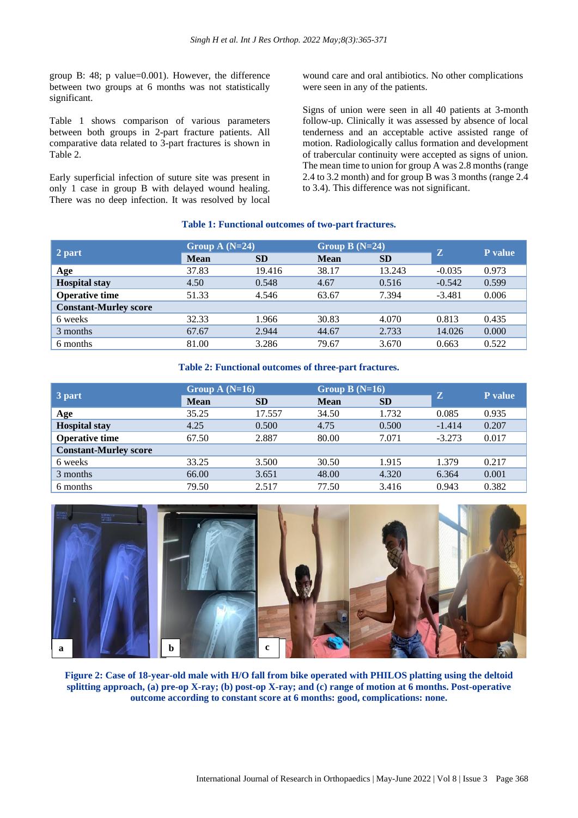group B: 48; p value=0.001). However, the difference between two groups at 6 months was not statistically significant.

Table 1 shows comparison of various parameters between both groups in 2-part fracture patients. All comparative data related to 3-part fractures is shown in Table 2.

Early superficial infection of suture site was present in only 1 case in group B with delayed wound healing. There was no deep infection. It was resolved by local wound care and oral antibiotics. No other complications were seen in any of the patients.

Signs of union were seen in all 40 patients at 3-month follow-up. Clinically it was assessed by absence of local tenderness and an acceptable active assisted range of motion. Radiologically callus formation and development of trabercular continuity were accepted as signs of union. The mean time to union for group A was 2.8 months (range 2.4 to 3.2 month) and for group B was 3 months (range 2.4 to 3.4). This difference was not significant.

#### **Table 1: Functional outcomes of two-part fractures.**

| 2 part                       | Group A $(N=24)$ |           | Group B $(N=24)$ |           | Z        |         |
|------------------------------|------------------|-----------|------------------|-----------|----------|---------|
|                              | Mean             | <b>SD</b> | <b>Mean</b>      | <b>SD</b> |          | P value |
| Age                          | 37.83            | 19.416    | 38.17            | 13.243    | $-0.035$ | 0.973   |
| <b>Hospital stay</b>         | 4.50             | 0.548     | 4.67             | 0.516     | $-0.542$ | 0.599   |
| <b>Operative time</b>        | 51.33            | 4.546     | 63.67            | 7.394     | $-3.481$ | 0.006   |
| <b>Constant-Murley score</b> |                  |           |                  |           |          |         |
| 6 weeks                      | 32.33            | 1.966     | 30.83            | 4.070     | 0.813    | 0.435   |
| 3 months                     | 67.67            | 2.944     | 44.67            | 2.733     | 14.026   | 0.000   |
| 6 months                     | 81.00            | 3.286     | 79.67            | 3.670     | 0.663    | 0.522   |

#### **Table 2: Functional outcomes of three-part fractures.**

| 3 part                       | Group $A(N=16)$ |           | Group $B(N=16)$ |           |          |         |
|------------------------------|-----------------|-----------|-----------------|-----------|----------|---------|
|                              | <b>Mean</b>     | <b>SD</b> | <b>Mean</b>     | <b>SD</b> | Z        | P value |
| Age                          | 35.25           | 17.557    | 34.50           | 1.732     | 0.085    | 0.935   |
| <b>Hospital stay</b>         | 4.25            | 0.500     | 4.75            | 0.500     | $-1.414$ | 0.207   |
| <b>Operative time</b>        | 67.50           | 2.887     | 80.00           | 7.071     | $-3.273$ | 0.017   |
| <b>Constant-Murley score</b> |                 |           |                 |           |          |         |
| 6 weeks                      | 33.25           | 3.500     | 30.50           | 1.915     | 1.379    | 0.217   |
| 3 months                     | 66.00           | 3.651     | 48.00           | 4.320     | 6.364    | 0.001   |
| 6 months                     | 79.50           | 2.517     | 77.50           | 3.416     | 0.943    | 0.382   |



**Figure 2: Case of 18-year-old male with H/O fall from bike operated with PHILOS platting using the deltoid splitting approach, (a) pre-op X-ray; (b) post-op X-ray; and (c) range of motion at 6 months. Post-operative outcome according to constant score at 6 months: good, complications: none.**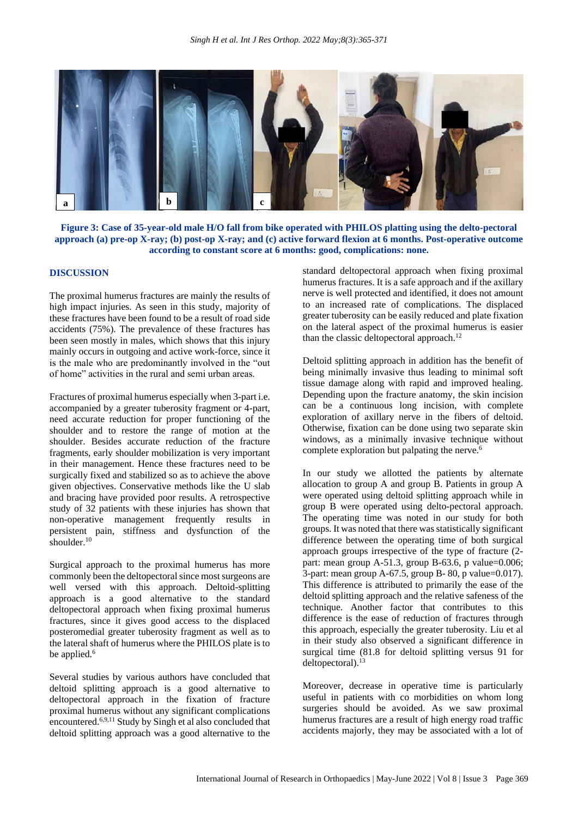

**Figure 3: Case of 35-year-old male H/O fall from bike operated with PHILOS platting using the delto-pectoral approach (a) pre-op X-ray; (b) post-op X-ray; and (c) active forward flexion at 6 months. Post-operative outcome according to constant score at 6 months: good, complications: none.**

## **DISCUSSION**

The proximal humerus fractures are mainly the results of high impact injuries. As seen in this study, majority of these fractures have been found to be a result of road side accidents (75%). The prevalence of these fractures has been seen mostly in males, which shows that this injury mainly occurs in outgoing and active work-force, since it is the male who are predominantly involved in the "out of home" activities in the rural and semi urban areas.

Fractures of proximal humerus especially when 3-part i.e. accompanied by a greater tuberosity fragment or 4-part, need accurate reduction for proper functioning of the shoulder and to restore the range of motion at the shoulder. Besides accurate reduction of the fracture fragments, early shoulder mobilization is very important in their management. Hence these fractures need to be surgically fixed and stabilized so as to achieve the above given objectives. Conservative methods like the U slab and bracing have provided poor results. A retrospective study of 32 patients with these injuries has shown that non-operative management frequently results in persistent pain, stiffness and dysfunction of the shoulder.<sup>10</sup>

Surgical approach to the proximal humerus has more commonly been the deltopectoral since most surgeons are well versed with this approach. Deltoid-splitting approach is a good alternative to the standard deltopectoral approach when fixing proximal humerus fractures, since it gives good access to the displaced posteromedial greater tuberosity fragment as well as to the lateral shaft of humerus where the PHILOS plate is to be applied.<sup>6</sup>

Several studies by various authors have concluded that deltoid splitting approach is a good alternative to deltopectoral approach in the fixation of fracture proximal humerus without any significant complications encountered.6,9,11 Study by Singh et al also concluded that deltoid splitting approach was a good alternative to the

standard deltopectoral approach when fixing proximal humerus fractures. It is a safe approach and if the axillary nerve is well protected and identified, it does not amount to an increased rate of complications. The displaced greater tuberosity can be easily reduced and plate fixation on the lateral aspect of the proximal humerus is easier than the classic deltopectoral approach.<sup>12</sup>

Deltoid splitting approach in addition has the benefit of being minimally invasive thus leading to minimal soft tissue damage along with rapid and improved healing. Depending upon the fracture anatomy, the skin incision can be a continuous long incision, with complete exploration of axillary nerve in the fibers of deltoid. Otherwise, fixation can be done using two separate skin windows, as a minimally invasive technique without complete exploration but palpating the nerve.<sup>6</sup>

In our study we allotted the patients by alternate allocation to group A and group B. Patients in group A were operated using deltoid splitting approach while in group B were operated using delto-pectoral approach. The operating time was noted in our study for both groups. It was noted that there was statistically significant difference between the operating time of both surgical approach groups irrespective of the type of fracture (2 part: mean group A-51.3, group B-63.6, p value=0.006; 3-part: mean group A-67.5, group B- 80, p value=0.017). This difference is attributed to primarily the ease of the deltoid splitting approach and the relative safeness of the technique. Another factor that contributes to this difference is the ease of reduction of fractures through this approach, especially the greater tuberosity. Liu et al in their study also observed a significant difference in surgical time (81.8 for deltoid splitting versus 91 for deltopectoral).<sup>13</sup>

Moreover, decrease in operative time is particularly useful in patients with co morbidities on whom long surgeries should be avoided. As we saw proximal humerus fractures are a result of high energy road traffic accidents majorly, they may be associated with a lot of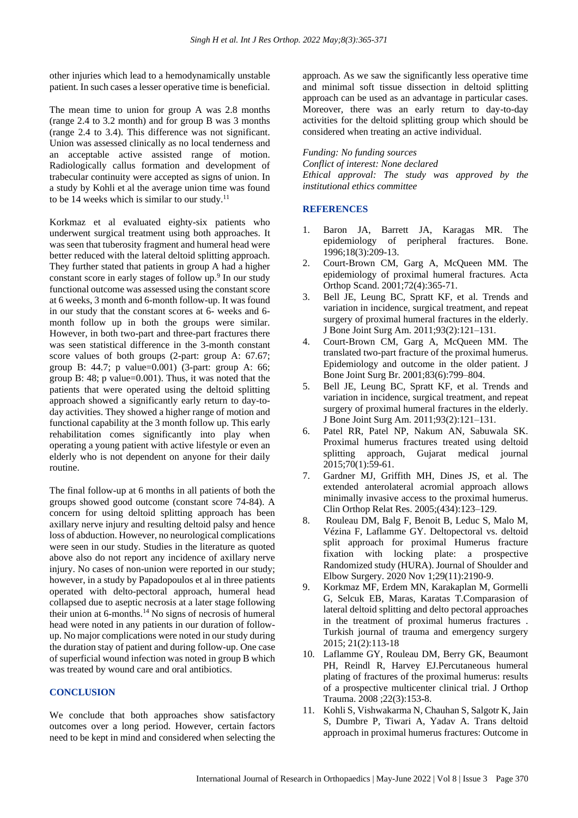other injuries which lead to a hemodynamically unstable patient. In such cases a lesser operative time is beneficial.

The mean time to union for group A was 2.8 months (range 2.4 to 3.2 month) and for group B was 3 months (range 2.4 to 3.4). This difference was not significant. Union was assessed clinically as no local tenderness and an acceptable active assisted range of motion. Radiologically callus formation and development of trabecular continuity were accepted as signs of union. In a study by Kohli et al the average union time was found to be 14 weeks which is similar to our study.<sup>11</sup>

Korkmaz et al evaluated eighty-six patients who underwent surgical treatment using both approaches. It was seen that tuberosity fragment and humeral head were better reduced with the lateral deltoid splitting approach. They further stated that patients in group A had a higher constant score in early stages of follow up.<sup>9</sup> In our study functional outcome was assessed using the constant score at 6 weeks, 3 month and 6-month follow-up. It was found in our study that the constant scores at 6- weeks and 6 month follow up in both the groups were similar. However, in both two-part and three-part fractures there was seen statistical difference in the 3-month constant score values of both groups (2-part: group A: 67.67; group B: 44.7; p value=0.001) (3-part: group A: 66; group B: 48; p value=0.001). Thus, it was noted that the patients that were operated using the deltoid splitting approach showed a significantly early return to day-today activities. They showed a higher range of motion and functional capability at the 3 month follow up. This early rehabilitation comes significantly into play when operating a young patient with active lifestyle or even an elderly who is not dependent on anyone for their daily routine.

The final follow-up at 6 months in all patients of both the groups showed good outcome (constant score 74-84). A concern for using deltoid splitting approach has been axillary nerve injury and resulting deltoid palsy and hence loss of abduction. However, no neurological complications were seen in our study. Studies in the literature as quoted above also do not report any incidence of axillary nerve injury. No cases of non-union were reported in our study; however, in a study by Papadopoulos et al in three patients operated with delto-pectoral approach, humeral head collapsed due to aseptic necrosis at a later stage following their union at  $6$ -months.<sup>14</sup> No signs of necrosis of humeral head were noted in any patients in our duration of followup. No major complications were noted in our study during the duration stay of patient and during follow-up. One case of superficial wound infection was noted in group B which was treated by wound care and oral antibiotics.

#### **CONCLUSION**

We conclude that both approaches show satisfactory outcomes over a long period. However, certain factors need to be kept in mind and considered when selecting the approach. As we saw the significantly less operative time and minimal soft tissue dissection in deltoid splitting approach can be used as an advantage in particular cases. Moreover, there was an early return to day-to-day activities for the deltoid splitting group which should be considered when treating an active individual.

*Funding: No funding sources Conflict of interest: None declared Ethical approval: The study was approved by the institutional ethics committee*

### **REFERENCES**

- 1. Baron JA, Barrett JA, Karagas MR. The epidemiology of peripheral fractures. Bone. 1996;18(3):209-13.
- 2. Court-Brown CM, Garg A, McQueen MM. The epidemiology of proximal humeral fractures. Acta Orthop Scand. 2001;72(4):365-71.
- 3. Bell JE, Leung BC, Spratt KF, et al. Trends and variation in incidence, surgical treatment, and repeat surgery of proximal humeral fractures in the elderly. J Bone Joint Surg Am. 2011;93(2):121–131.
- 4. Court-Brown CM, Garg A, McQueen MM. The translated two-part fracture of the proximal humerus. Epidemiology and outcome in the older patient. J Bone Joint Surg Br. 2001;83(6):799–804.
- 5. Bell JE, Leung BC, Spratt KF, et al. Trends and variation in incidence, surgical treatment, and repeat surgery of proximal humeral fractures in the elderly. J Bone Joint Surg Am. 2011;93(2):121–131.
- 6. Patel RR, Patel NP, Nakum AN, Sabuwala SK. Proximal humerus fractures treated using deltoid splitting approach, Gujarat medical journal 2015;70(1):59-61.
- 7. Gardner MJ, Griffith MH, Dines JS, et al. The extended anterolateral acromial approach allows minimally invasive access to the proximal humerus. Clin Orthop Relat Res. 2005;(434):123–129.
- 8. Rouleau DM, Balg F, Benoit B, Leduc S, Malo M, Vézina F, Laflamme GY. Deltopectoral vs. deltoid split approach for proximal Humerus fracture fixation with locking plate: a prospective Randomized study (HURA). Journal of Shoulder and Elbow Surgery. 2020 Nov 1;29(11):2190-9.
- 9. Korkmaz MF, Erdem MN, Karakaplan M, Gormelli G, Selcuk EB, Maras, Karatas T.Comparasion of lateral deltoid splitting and delto pectoral approaches in the treatment of proximal humerus fractures . Turkish journal of trauma and emergency surgery 2015; 21(2):113-18
- 10. Laflamme GY, Rouleau DM, Berry GK, Beaumont PH, Reindl R, Harvey EJ.Percutaneous humeral plating of fractures of the proximal humerus: results of a prospective multicenter clinical trial. J Orthop Trauma. 2008 ;22(3):153-8.
- 11. Kohli S, Vishwakarma N, Chauhan S, Salgotr K, Jain S, Dumbre P, Tiwari A, Yadav A. Trans deltoid approach in proximal humerus fractures: Outcome in